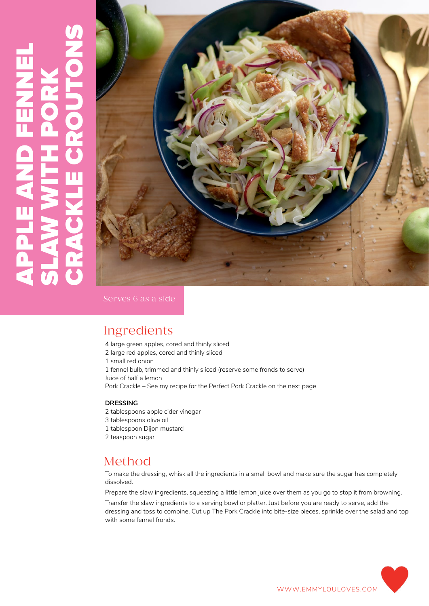# CRACKLE CROUTONS APPLE AND FENNEL SLAW WITH PORK PPLE



Serves 6 as a side

# Ingredients

4 large green apples, cored and thinly sliced 2 large red apples, cored and thinly sliced 1 small red onion 1 fennel bulb, trimmed and thinly sliced (reserve some fronds to serve) Juice of half a lemon Pork Crackle – See my recipe for the Perfect Pork Crackle on the next page

#### **DRESSING**

- 2 tablespoons apple cider vinegar
- 3 tablespoons olive oil
- 1 tablespoon Dijon mustard
- 2 teaspoon sugar

### Method

To make the dressing, whisk all the ingredients in a small bowl and make sure the sugar has completely dissolved.

Prepare the slaw ingredients, squeezing a little lemon juice over them as you go to stop it from browning. Transfer the slaw ingredients to a serving bowl or platter. Just before you are ready to serve, add the dressing and toss to combine. Cut up The Pork Crackle into bite-size pieces, sprinkle over the salad and top with some fennel fronds.